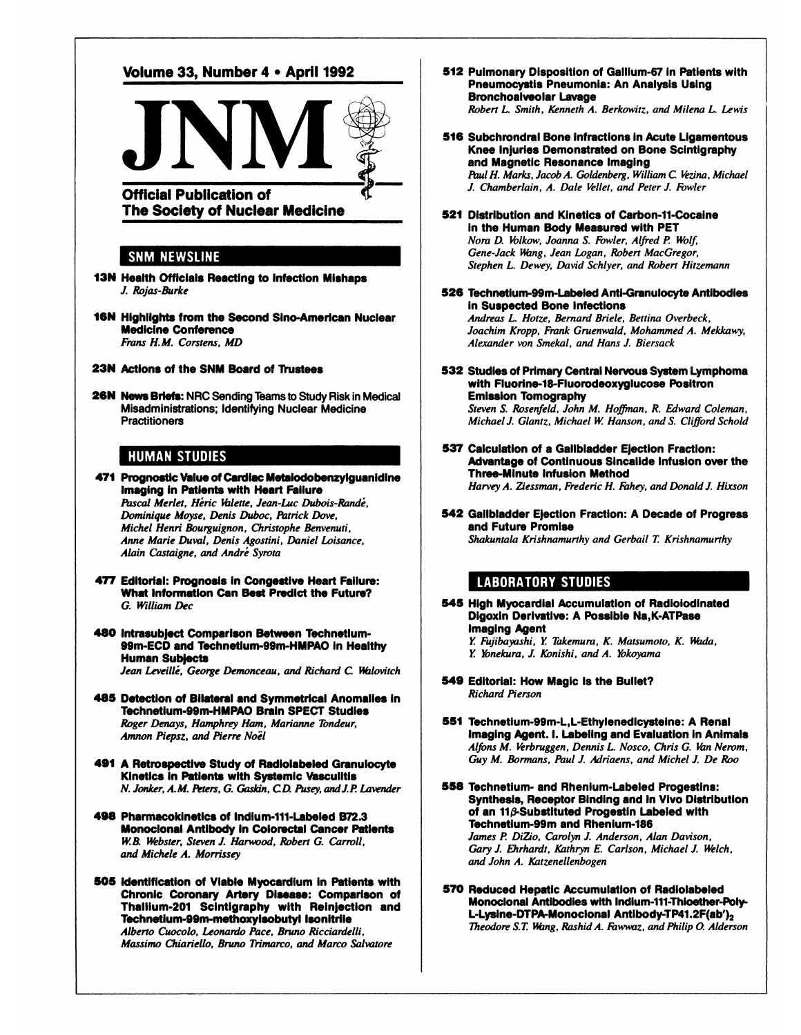

**512 PulmonaryDispositionof Gallium-Si in Patientswith** Pneumocystis Pneumonia: An Analysis Using Bronchoalveolar Lavage *Robert L. Smith, Kenneth A. Berkowitz, and Milena L Lewis*

**516** Subchrondral Bone Infractions in Acute Ligamentous Knee Injuries Demonstrated on Bone Scintigraphy **and Magnetic ResonanceImaging** *PaulH. Marks, Jacob A. Goldenberg, William C Vezina,Michael J. Chamberlain, A. Dale Vellet, and Peter J.Fowler*

- **521 Distributionand Kineticsof Carbon-il-Cocaine in the Human Body Measuredwith PET** *Nora D. Volkow, Joanna S. Fowler, Alfred P Wolf, Gene-Jack @\*zng,Jean Logan, Robert MacGregor, Stephen L. Dewey, David Schlyer, and Robert Hi:zemann*
- **526 Technetium-99m-Labeled Anti-Granulocyte Antibodies** in Suspected Bone Infections

*Andreas L. Hotze, Bernard Briele, Bettina Overbeck, Joachim Kropp, Frank Gruenwald, Mohammed A. Mekkawy, Alexander von Smekal, and Hans J.Biersack*

**532 Studies of Primary Central Nervous System Lymphoma** with Fluorine-18-Fluorodeoxyglucose Positron **Emission Tomography**

*Steven S. Rosenfeld, John M. Hoffman, R. Edward Coleman, Michaeli. Glan:z, Michael W Hanson, and S. Clifford Schold*

- 537 Calculation of a Gallbladder Election Fraction: Advantage of Continuous Sincalide Infusion over the **Three-Minute Infusion Method** *Harvey A. Ziessman, Frederic H. Thhey, and Donald). Hixson*
- **542 GallbladderEjectionFraction:A Decade of Progress and Future Promise** *Shakuntala Krishnamurthy and Gerbail T Krishnamurthy*

#### **LABORATORY STUDIES**

545 High Myocardlal Accumulation of Radioiodlnated **DigoxInDerivative:A PossibleNa,K-ATPase Imaging Agent** Y. Fujibayashi, Y. Takemura, K. Matsumoto, K. Wada,

- Y. Yonekura, J. Konishi, and A. Yokoyama
- 549 Editorial: How Magic Is the Bullet? *Richard Pierson*
- **551 Technetium-99m-L,L-Ethylenedicysteine:A Renal Imaging Agent. I. Labeling and Evaluation in Animals** *Alfons M. Verbruggen, Dennis L Nosco, Chris G. VanNerom,*  $G$ uy *M.* Bormans, Paul J. Adriaens, and Michel J. De Roo

**558 Technetium- and Rhenium-Labeled Progestins: Synthesis, Receptor Binding and In Vivo Distribution** of an 11<sub>0</sub>-Substituted Progestin Labeled with **Technetium-99mand Rhenlum-186** *James P DiZio, Carolyn J. Anderson, Alan Davison,* Gary J. Ehrhardt, Kathryn E. Carlson, Michael J. Welch, *and John A. Katzenellenbogen*

**570 Reduced HepaticAccumulationof Radiolabeled** Monoclonal Antibodies with indlum-lil-Thioether-PoIy L-Lysine-DTPA-Monoclonal Antibody-TP41.2F(ab')<sub>2</sub> *Theodore S.T UÃ ng,RashidA. Faw@wiz,and Philip 0 Alderson*